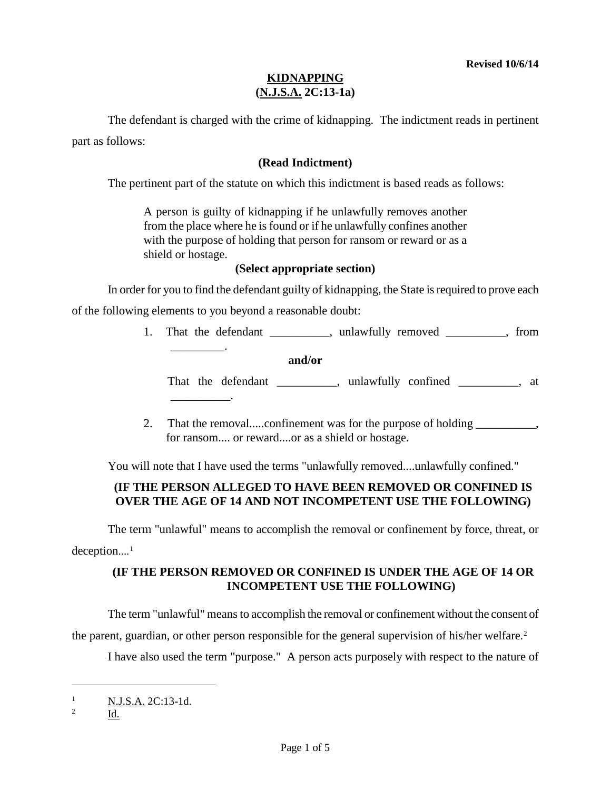The defendant is charged with the crime of kidnapping. The indictment reads in pertinent part as follows:

#### **(Read Indictment)**

The pertinent part of the statute on which this indictment is based reads as follows:

A person is guilty of kidnapping if he unlawfully removes another from the place where he is found or if he unlawfully confines another with the purpose of holding that person for ransom or reward or as a shield or hostage.

#### **(Select appropriate section)**

In order for you to find the defendant guilty of kidnapping, the State is required to prove each of the following elements to you beyond a reasonable doubt:

- 1. That the defendant \_\_\_\_\_\_\_\_, unlawfully removed \_\_\_\_\_\_\_, from \_\_\_\_\_\_\_\_\_. **and/or** That the defendant \_\_\_\_\_\_\_\_\_, unlawfully confined \_\_\_\_\_\_\_\_, at \_\_\_\_\_\_\_\_\_\_.
- 2. That the removal.....confinement was for the purpose of holding  $\qquad \qquad$ , for ransom.... or reward....or as a shield or hostage.

You will note that I have used the terms "unlawfully removed....unlawfully confined."

# **(IF THE PERSON ALLEGED TO HAVE BEEN REMOVED OR CONFINED IS OVER THE AGE OF 14 AND NOT INCOMPETENT USE THE FOLLOWING)**

The term "unlawful" means to accomplish the removal or confinement by force, threat, or deception....<sup>[1](#page-0-0)</sup>

## **(IF THE PERSON REMOVED OR CONFINED IS UNDER THE AGE OF 14 OR INCOMPETENT USE THE FOLLOWING)**

The term "unlawful" means to accomplish the removal or confinement without the consent of

the parent, guardian, or other person responsible for the general supervision of his/her welfare. [2](#page-0-1)

I have also used the term "purpose." A person acts purposely with respect to the nature of

Id.

i<br>I

<span id="page-0-0"></span><sup>&</sup>lt;sup>1</sup> N.J.S.A. 2C:13-1d.

<span id="page-0-1"></span><sup>2</sup>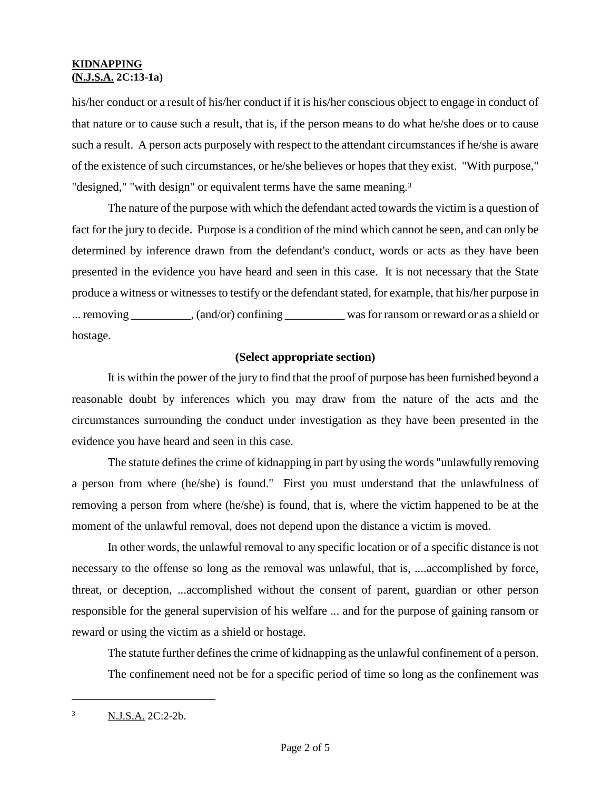his/her conduct or a result of his/her conduct if it is his/her conscious object to engage in conduct of that nature or to cause such a result, that is, if the person means to do what he/she does or to cause such a result. A person acts purposely with respect to the attendant circumstances if he/she is aware of the existence of such circumstances, or he/she believes or hopes that they exist. "With purpose," "designed," "with design" or equivalent terms have the same meaning.<sup>[3](#page-1-0)</sup>

The nature of the purpose with which the defendant acted towards the victim is a question of fact for the jury to decide. Purpose is a condition of the mind which cannot be seen, and can only be determined by inference drawn from the defendant's conduct, words or acts as they have been presented in the evidence you have heard and seen in this case. It is not necessary that the State produce a witness or witnesses to testify or the defendant stated, for example, that his/her purpose in ... removing \_\_\_\_\_\_\_\_\_, (and/or) confining was for ransom or reward or as a shield or hostage.

### **(Select appropriate section)**

It is within the power of the jury to find that the proof of purpose has been furnished beyond a reasonable doubt by inferences which you may draw from the nature of the acts and the circumstances surrounding the conduct under investigation as they have been presented in the evidence you have heard and seen in this case.

The statute defines the crime of kidnapping in part by using the words "unlawfully removing a person from where (he/she) is found." First you must understand that the unlawfulness of removing a person from where (he/she) is found, that is, where the victim happened to be at the moment of the unlawful removal, does not depend upon the distance a victim is moved.

In other words, the unlawful removal to any specific location or of a specific distance is not necessary to the offense so long as the removal was unlawful, that is, ....accomplished by force, threat, or deception, ...accomplished without the consent of parent, guardian or other person responsible for the general supervision of his welfare ... and for the purpose of gaining ransom or reward or using the victim as a shield or hostage.

The statute further defines the crime of kidnapping as the unlawful confinement of a person. The confinement need not be for a specific period of time so long as the confinement was

i<br>I

<span id="page-1-0"></span><sup>3</sup> N.J.S.A. 2C:2-2b.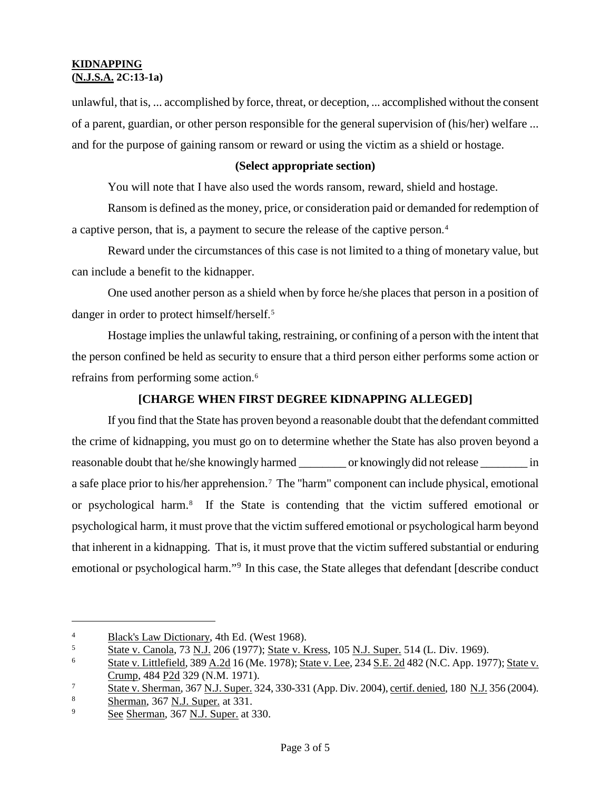unlawful, that is, ... accomplished by force, threat, or deception, ... accomplished without the consent of a parent, guardian, or other person responsible for the general supervision of (his/her) welfare ... and for the purpose of gaining ransom or reward or using the victim as a shield or hostage.

#### **(Select appropriate section)**

You will note that I have also used the words ransom, reward, shield and hostage.

Ransom is defined as the money, price, or consideration paid or demanded for redemption of a captive person, that is, a payment to secure the release of the captive person. [4](#page-2-0)

Reward under the circumstances of this case is not limited to a thing of monetary value, but can include a benefit to the kidnapper.

One used another person as a shield when by force he/she places that person in a position of danger in order to protect himself/herself. [5](#page-2-1)

Hostage implies the unlawful taking, restraining, or confining of a person with the intent that the person confined be held as security to ensure that a third person either performs some action or refrains from performing some action. [6](#page-2-2)

#### **[CHARGE WHEN FIRST DEGREE KIDNAPPING ALLEGED]**

If you find that the State has proven beyond a reasonable doubt that the defendant committed the crime of kidnapping, you must go on to determine whether the State has also proven beyond a reasonable doubt that he/she knowingly harmed \_\_\_\_\_\_\_\_ or knowingly did not release \_\_\_\_\_\_\_\_ in a safe place prior to his/her apprehension.<sup>[7](#page-2-3)</sup> The "harm" component can include physical, emotional or psychological harm.[8](#page-2-4) If the State is contending that the victim suffered emotional or psychological harm, it must prove that the victim suffered emotional or psychological harm beyond that inherent in a kidnapping. That is, it must prove that the victim suffered substantial or enduring emotional or psychological harm."<sup>[9](#page-2-5)</sup> In this case, the State alleges that defendant [describe conduct

i

<span id="page-2-0"></span><sup>4</sup> Black's Law Dictionary, 4th Ed. (West 1968).

<span id="page-2-1"></span><sup>&</sup>lt;sup>5</sup> State v. Canola, 73 N.J. 206 (1977); State v. Kress, 105 N.J. Super. 514 (L. Div. 1969).

<span id="page-2-2"></span><sup>6</sup> State v. Littlefield, 389 A.2d 16 (Me. 1978); State v. Lee, 234 S.E. 2d 482 (N.C. App. 1977); State v. Crump, 484 P2d 329 (N.M. 1971).

<span id="page-2-3"></span><sup>&</sup>lt;sup>7</sup> State v. Sherman, 367 <u>N.J. Super.</u> 324, 330-331 (App. Div. 2004), <u>certif. denied</u>, 180 <u>N.J.</u> 356 (2004).

<span id="page-2-4"></span> $\frac{8}{29}$  Sherman, 367 N.J. Super. at 331.

<span id="page-2-5"></span>See Sherman, 367 N.J. Super. at 330.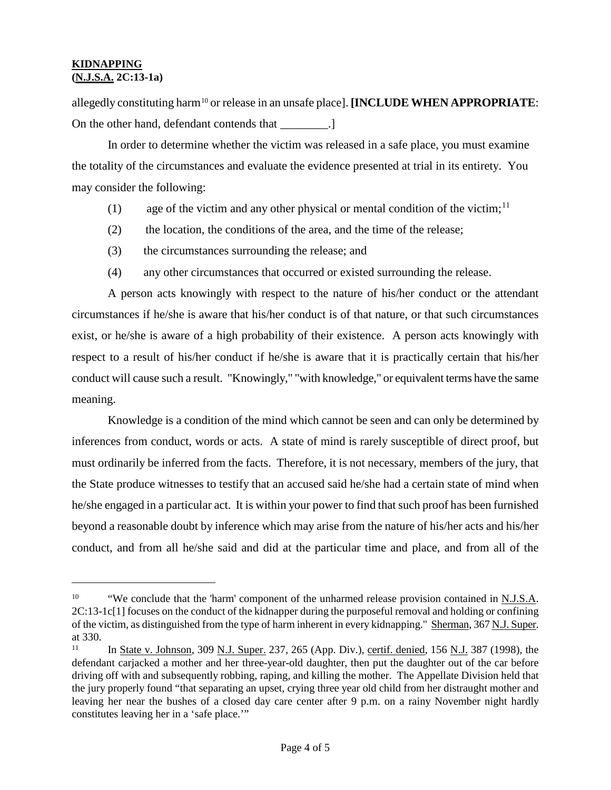i<br>I

allegedly constituting harm[10](#page-3-0) or release in an unsafe place]. **[INCLUDE WHEN APPROPRIATE**: On the other hand, defendant contends that \_\_\_\_\_\_\_\_.]

In order to determine whether the victim was released in a safe place, you must examine the totality of the circumstances and evaluate the evidence presented at trial in its entirety. You may consider the following:

- (1) age of the victim and any other physical or mental condition of the victim;<sup>[11](#page-3-1)</sup>
- (2) the location, the conditions of the area, and the time of the release;
- (3) the circumstances surrounding the release; and
- (4) any other circumstances that occurred or existed surrounding the release.

A person acts knowingly with respect to the nature of his/her conduct or the attendant circumstances if he/she is aware that his/her conduct is of that nature, or that such circumstances exist, or he/she is aware of a high probability of their existence. A person acts knowingly with respect to a result of his/her conduct if he/she is aware that it is practically certain that his/her conduct will cause such a result. "Knowingly," "with knowledge," or equivalent terms have the same meaning.

Knowledge is a condition of the mind which cannot be seen and can only be determined by inferences from conduct, words or acts. A state of mind is rarely susceptible of direct proof, but must ordinarily be inferred from the facts. Therefore, it is not necessary, members of the jury, that the State produce witnesses to testify that an accused said he/she had a certain state of mind when he/she engaged in a particular act. It is within your power to find that such proof has been furnished beyond a reasonable doubt by inference which may arise from the nature of his/her acts and his/her conduct, and from all he/she said and did at the particular time and place, and from all of the

<span id="page-3-0"></span><sup>&</sup>lt;sup>10</sup> "We conclude that the 'harm' component of the unharmed release provision contained in N.J.S.A. 2C:13-1c[1] focuses on the conduct of the kidnapper during the purposeful removal and holding or confining of the victim, as distinguished from the type of harm inherent in every kidnapping." Sherman, 367 N.J. Super. at 330.

<span id="page-3-1"></span>In State v. Johnson, 309 N.J. Super. 237, 265 (App. Div.), certif. denied, 156 N.J. 387 (1998), the defendant carjacked a mother and her three-year-old daughter, then put the daughter out of the car before driving off with and subsequently robbing, raping, and killing the mother. The Appellate Division held that the jury properly found "that separating an upset, crying three year old child from her distraught mother and leaving her near the bushes of a closed day care center after 9 p.m. on a rainy November night hardly constitutes leaving her in a 'safe place.'"